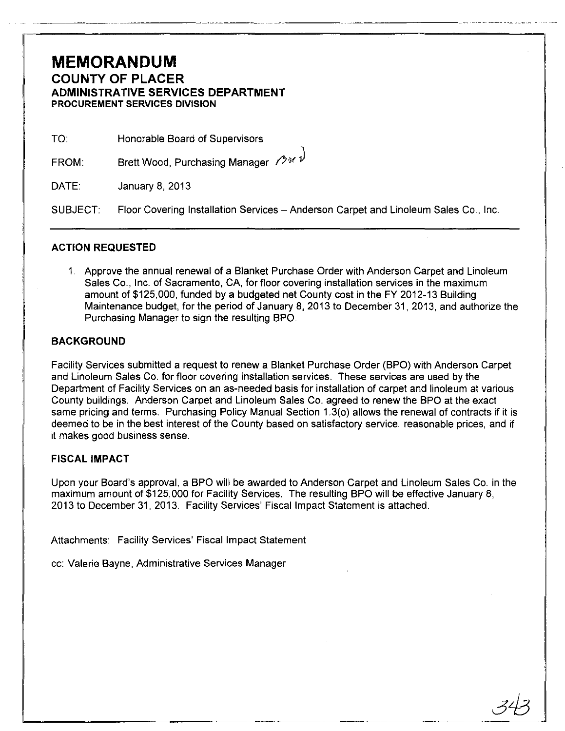## **MEMORANDUM COUNTY OF PLACER ADMINISTRATIVE SERVICES DEPARTMENT PROCUREMENT SERVICES DIVISION**

| TO. | Honorable Board of Supervisors |
|-----|--------------------------------|
|-----|--------------------------------|

FROM: Brett Wood, Purchasing Manager  $\mathcal{O}^{\mathcal{U}}$ 

DATE: January 8, 2013

SUBJECT: Floor Covering Installation Services - Anderson Carpet and Linoleum Sales Co., Inc.

\_.\_-\_.\_---\_ .. - \_.\_.\_---

### **ACTION REQUESTED**

1. Approve the annual renewal of a Blanket Purchase Order with Anderson Carpet and Linoleum Sales Co., Inc. of Sacramento, CA, for floor covering installation services in the maximum amount of \$125,000, funded by a budgeted net County cost in the FY 2012-13 Building Maintenance budget, for the period of January 8, 2013 to December 31, 2013, and authorize the Purchasing Manager to sign the resulting BPO.

### **BACKGROUND**

Facility Services submitted a request to renew a Blanket Purchase Order (BPO) with Anderson Carpet and Linoleum Sales Co. for floor covering installation services. These services are used by the Department of Facility Services on an as-needed basis for installation of carpet and linoleum at various County buildings. Anderson Carpet and Linoleum Sales Co. agreed to renew the BPO at the exact same pricing and terms. Purchasing Policy Manual Section 1.3(0) allows the renewal of contracts if it is deemed to be in the best interest of the County based on satisfactory service, reasonable prices, and if it makes good business sense.

#### **FISCAL IMPACT**

Upon your Board's approval, a BPO will be awarded to Anderson Carpet and Linoleum Sales Co. in the maximum amount of \$125,000 for Facility Services. The resulting BPO will be effective January 8, 2013 to December 31, 2013. Facility Services' Fiscal Impact Statement is attached.

Attachments: Facility Services' Fiscal Impact Statement

cc: Valerie Bayne, Administrative Services Manager